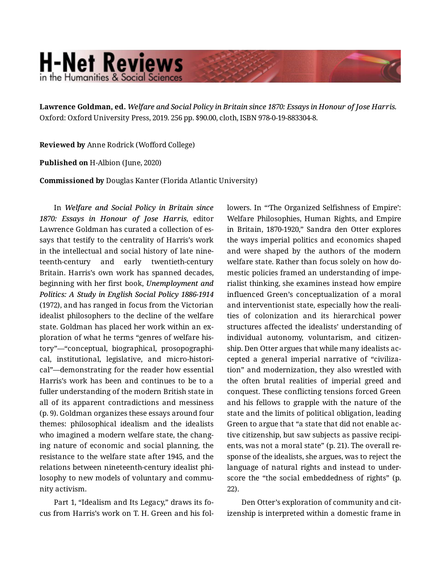## **H-Net Reviews** in the Humanities & Social Scienc

**Lawrence Goldman, ed.** *Welfare and Social Policy in Britain since 1870: Essays in Honour of Jose Harris.*  Oxford: Oxford University Press, 2019. 256 pp. \$90.00, cloth, ISBN 978-0-19-883304-8.

**Reviewed by** Anne Rodrick (Wofford College)

**Published on** H-Albion (June, 2020)

**Commissioned by** Douglas Kanter (Florida Atlantic University)

In *Welfare and Social Policy in Britain since 1870: Essays in Honour of Jose Harris*, editor Lawrence Goldman has curated a collection of es‐ says that testify to the centrality of Harris's work in the intellectual and social history of late nine‐ teenth-century and early twentieth-century Britain. Harris's own work has spanned decades, beginning with her first book, *Unemployment and Politics: A Study in English Social Policy 1886-1914* (1972), and has ranged in focus from the Victorian idealist philosophers to the decline of the welfare state. Goldman has placed her work within an ex‐ ploration of what he terms "genres of welfare his‐ tory"—"conceptual, biographical, prosopographi‐ cal, institutional, legislative, and micro-histori‐ cal"—demonstrating for the reader how essential Harris's work has been and continues to be to a fuller understanding of the modern British state in all of its apparent contradictions and messiness (p. 9). Goldman organizes these essays around four themes: philosophical idealism and the idealists who imagined a modern welfare state, the chang‐ ing nature of economic and social planning, the resistance to the welfare state after 1945, and the relations between nineteenth-century idealist phi‐ losophy to new models of voluntary and community activism.

Part 1, "Idealism and Its Legacy," draws its fo‐ cus from Harris's work on T. H. Green and his fol‐ lowers. In "The Organized Selfishness of Empire': Welfare Philosophies, Human Rights, and Empire in Britain, 1870-1920," Sandra den Otter explores the ways imperial politics and economics shaped and were shaped by the authors of the modern welfare state. Rather than focus solely on how domestic policies framed an understanding of imperialist thinking, she examines instead how empire influenced Green's conceptualization of a moral and interventionist state, especially how the reali‐ ties of colonization and its hierarchical power structures affected the idealists' understanding of individual autonomy, voluntarism, and citizen‐ ship. Den Otter argues that while many idealists ac‐ cepted a general imperial narrative of "civiliza‐ tion" and modernization, they also wrestled with the often brutal realities of imperial greed and conquest. These conflicting tensions forced Green and his fellows to grapple with the nature of the state and the limits of political obligation, leading Green to argue that "a state that did not enable ac‐ tive citizenship, but saw subjects as passive recipi‐ ents, was not a moral state" (p. 21). The overall re‐ sponse of the idealists, she argues, was to reject the language of natural rights and instead to under‐ score the "the social embeddedness of rights" (p. 22).

Den Otter's exploration of community and cit‐ izenship is interpreted within a domestic frame in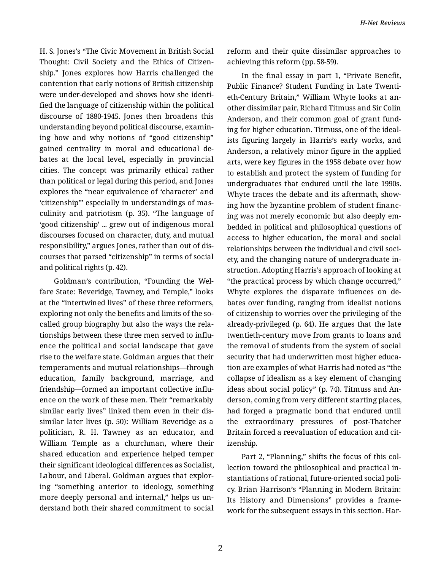H. S. Jones's "The Civic Movement in British Social Thought: Civil Society and the Ethics of Citizen‐ ship." Jones explores how Harris challenged the contention that early notions of British citizenship were under-developed and shows how she identi‐ fied the language of citizenship within the political discourse of 1880-1945. Jones then broadens this understanding beyond political discourse, examin‐ ing how and why notions of "good citizenship" gained centrality in moral and educational de‐ bates at the local level, especially in provincial cities. The concept was primarily ethical rather than political or legal during this period, and Jones explores the "near equivalence of 'character' and 'citizenship'" especially in understandings of mas‐ culinity and patriotism (p. 35). "The language of 'good citizenship' ... grew out of indigenous moral discourses focused on character, duty, and mutual responsibility," argues Jones, rather than out of dis‐ courses that parsed "citizenship" in terms of social and political rights (p. 42).

Goldman's contribution, "Founding the Wel‐ fare State: Beveridge, Tawney, and Temple," looks at the "intertwined lives" of these three reformers, exploring not only the benefits and limits of the socalled group biography but also the ways the rela‐ tionships between these three men served to influ‐ ence the political and social landscape that gave rise to the welfare state. Goldman argues that their temperaments and mutual relationships—through education, family background, marriage, and friendship—formed an important collective influ‐ ence on the work of these men. Their "remarkably similar early lives" linked them even in their dis‐ similar later lives (p. 50): William Beveridge as a politician, R. H. Tawney as an educator, and William Temple as a churchman, where their shared education and experience helped temper their significant ideological differences as Socialist, Labour, and Liberal. Goldman argues that explor‐ ing "something anterior to ideology, something more deeply personal and internal," helps us un‐ derstand both their shared commitment to social

reform and their quite dissimilar approaches to achieving this reform (pp. 58-59).

In the final essay in part 1, "Private Benefit, Public Finance? Student Funding in Late Twenti‐ eth-Century Britain," William Whyte looks at an‐ other dissimilar pair, Richard Titmuss and Sir Colin Anderson, and their common goal of grant fund‐ ing for higher education. Titmuss, one of the ideal‐ ists figuring largely in Harris's early works, and Anderson, a relatively minor figure in the applied arts, were key figures in the 1958 debate over how to establish and protect the system of funding for undergraduates that endured until the late 1990s. Whyte traces the debate and its aftermath, show‐ ing how the byzantine problem of student financ‐ ing was not merely economic but also deeply em‐ bedded in political and philosophical questions of access to higher education, the moral and social relationships between the individual and civil soci‐ ety, and the changing nature of undergraduate in‐ struction. Adopting Harris's approach of looking at "the practical process by which change occurred," Whyte explores the disparate influences on de‐ bates over funding, ranging from idealist notions of citizenship to worries over the privileging of the already-privileged (p. 64). He argues that the late twentieth-century move from grants to loans and the removal of students from the system of social security that had underwritten most higher educa‐ tion are examples of what Harris had noted as "the collapse of idealism as a key element of changing ideas about social policy" (p. 74). Titmuss and An‐ derson, coming from very different starting places, had forged a pragmatic bond that endured until the extraordinary pressures of post-Thatcher Britain forced a reevaluation of education and cit‐ izenship.

Part 2, "Planning," shifts the focus of this col‐ lection toward the philosophical and practical in‐ stantiations of rational, future-oriented social poli‐ cy. Brian Harrison's "Planning in Modern Britain: Its History and Dimensions" provides a frame‐ work for the subsequent essays in this section. Har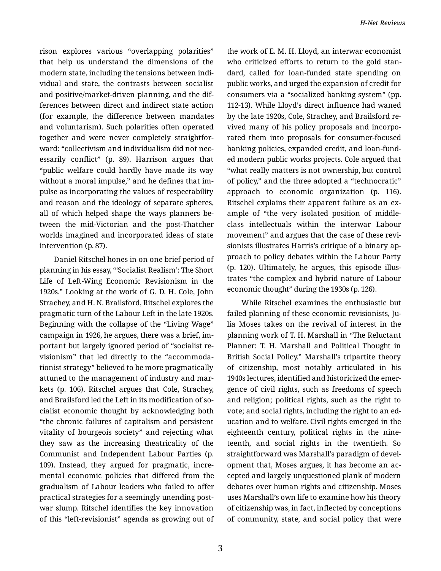rison explores various "overlapping polarities" that help us understand the dimensions of the modern state, including the tensions between indi‐ vidual and state, the contrasts between socialist and positive/market-driven planning, and the dif‐ ferences between direct and indirect state action (for example, the difference between mandates and voluntarism). Such polarities often operated together and were never completely straightfor‐ ward: "collectivism and individualism did not nec‐ essarily conflict" (p. 89). Harrison argues that "public welfare could hardly have made its way without a moral impulse," and he defines that im‐ pulse as incorporating the values of respectability and reason and the ideology of separate spheres, all of which helped shape the ways planners be‐ tween the mid-Victorian and the post-Thatcher worlds imagined and incorporated ideas of state intervention (p. 87).

Daniel Ritschel hones in on one brief period of planning in his essay, "'Socialist Realism': The Short Life of Left-Wing Economic Revisionism in the 1920s." Looking at the work of G. D. H. Cole, John Strachey, and H. N. Brailsford, Ritschel explores the pragmatic turn of the Labour Left in the late 1920s. Beginning with the collapse of the "Living Wage" campaign in 1926, he argues, there was a brief, im‐ portant but largely ignored period of "socialist re‐ visionism" that led directly to the "accommoda‐ tionist strategy" believed to be more pragmatically attuned to the management of industry and mar‐ kets (p. 106). Ritschel argues that Cole, Strachey, and Brailsford led the Left in its modification of so‐ cialist economic thought by acknowledging both "the chronic failures of capitalism and persistent vitality of bourgeois society" and rejecting what they saw as the increasing theatricality of the Communist and Independent Labour Parties (p. 109). Instead, they argued for pragmatic, incre‐ mental economic policies that differed from the gradualism of Labour leaders who failed to offer practical strategies for a seemingly unending post‐ war slump. Ritschel identifies the key innovation of this "left-revisionist" agenda as growing out of

the work of E. M. H. Lloyd, an interwar economist who criticized efforts to return to the gold standard, called for loan-funded state spending on public works, and urged the expansion of credit for consumers via a "socialized banking system" (pp. 112-13). While Lloyd's direct influence had waned by the late 1920s, Cole, Strachey, and Brailsford re‐ vived many of his policy proposals and incorpo‐ rated them into proposals for consumer-focused banking policies, expanded credit, and loan-fund‐ ed modern public works projects. Cole argued that "what really matters is not ownership, but control of policy," and the three adopted a "technocratic" approach to economic organization (p. 116). Ritschel explains their apparent failure as an ex‐ ample of "the very isolated position of middleclass intellectuals within the interwar Labour movement" and argues that the case of these revi‐ sionists illustrates Harris's critique of a binary ap‐ proach to policy debates within the Labour Party (p. 120). Ultimately, he argues, this episode illus‐ trates "the complex and hybrid nature of Labour economic thought" during the 1930s (p. 126).

While Ritschel examines the enthusiastic but failed planning of these economic revisionists, Julia Moses takes on the revival of interest in the planning work of T. H. Marshall in "The Reluctant Planner: T. H. Marshall and Political Thought in British Social Policy." Marshall's tripartite theory of citizenship, most notably articulated in his 1940s lectures, identified and historicized the emer‐ gence of civil rights, such as freedoms of speech and religion; political rights, such as the right to vote; and social rights, including the right to an ed‐ ucation and to welfare. Civil rights emerged in the eighteenth century, political rights in the nine‐ teenth, and social rights in the twentieth. So straightforward was Marshall's paradigm of devel‐ opment that, Moses argues, it has become an ac‐ cepted and largely unquestioned plank of modern debates over human rights and citizenship. Moses uses Marshall's own life to examine how his theory of citizenship was, in fact, inflected by conceptions of community, state, and social policy that were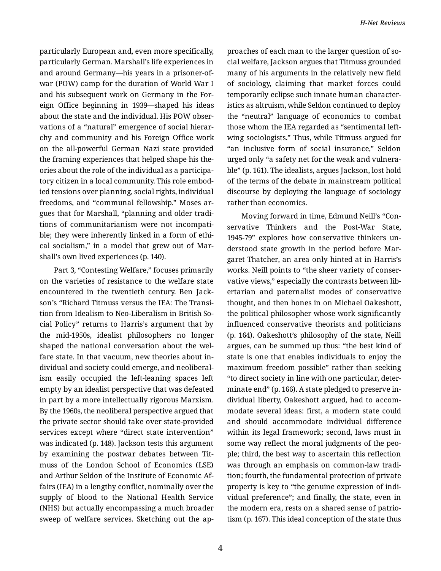particularly European and, even more specifically, particularly German. Marshall's life experiences in and around Germany—his years in a prisoner-ofwar (POW) camp for the duration of World War I and his subsequent work on Germany in the For‐ eign Office beginning in 1939—shaped his ideas about the state and the individual. His POW obser‐ vations of a "natural" emergence of social hierar‐ chy and community and his Foreign Office work on the all-powerful German Nazi state provided the framing experiences that helped shape his the‐ ories about the role of the individual as a participa‐ tory citizen in a local community. This role embod‐ ied tensions over planning, social rights, individual freedoms, and "communal fellowship." Moses ar‐ gues that for Marshall, "planning and older tradi‐ tions of communitarianism were not incompati‐ ble; they were inherently linked in a form of ethical socialism," in a model that grew out of Marshall's own lived experiences (p. 140).

Part 3, "Contesting Welfare," focuses primarily on the varieties of resistance to the welfare state encountered in the twentieth century. Ben Jack‐ son's "Richard Titmuss versus the IEA: The Transi‐ tion from Idealism to Neo-Liberalism in British So‐ cial Policy" returns to Harris's argument that by the mid-1950s, idealist philosophers no longer shaped the national conversation about the wel‐ fare state. In that vacuum, new theories about in‐ dividual and society could emerge, and neoliberal‐ ism easily occupied the left-leaning spaces left empty by an idealist perspective that was defeated in part by a more intellectually rigorous Marxism. By the 1960s, the neoliberal perspective argued that the private sector should take over state-provided services except where "direct state intervention" was indicated (p. 148). Jackson tests this argument by examining the postwar debates between Tit‐ muss of the London School of Economics (LSE) and Arthur Seldon of the Institute of Economic Af‐ fairs (IEA) in a lengthy conflict, nominally over the supply of blood to the National Health Service (NHS) but actually encompassing a much broader sweep of welfare services. Sketching out the approaches of each man to the larger question of so‐ cial welfare, Jackson argues that Titmuss grounded many of his arguments in the relatively new field of sociology, claiming that market forces could temporarily eclipse such innate human character‐ istics as altruism, while Seldon continued to deploy the "neutral" language of economics to combat those whom the IEA regarded as "sentimental leftwing sociologists." Thus, while Titmuss argued for "an inclusive form of social insurance," Seldon urged only "a safety net for the weak and vulnera‐ ble" (p. 161). The idealists, argues Jackson, lost hold of the terms of the debate in mainstream political discourse by deploying the language of sociology rather than economics.

Moving forward in time, Edmund Neill's "Con‐ servative Thinkers and the Post-War State, 1945-79" explores how conservative thinkers un‐ derstood state growth in the period before Mar‐ garet Thatcher, an area only hinted at in Harris's works. Neill points to "the sheer variety of conser‐ vative views," especially the contrasts between lib‐ ertarian and paternalist modes of conservative thought, and then hones in on Michael Oakeshott, the political philosopher whose work significantly influenced conservative theorists and politicians (p. 164). Oakeshott's philosophy of the state, Neill argues, can be summed up thus: "the best kind of state is one that enables individuals to enjoy the maximum freedom possible" rather than seeking "to direct society in line with one particular, deter‐ minate end" (p. 166). A state pledged to preserve in‐ dividual liberty, Oakeshott argued, had to accom‐ modate several ideas: first, a modern state could and should accommodate individual difference within its legal framework; second, laws must in some way reflect the moral judgments of the peo‐ ple; third, the best way to ascertain this reflection was through an emphasis on common-law tradi‐ tion; fourth, the fundamental protection of private property is key to "the genuine expression of indi‐ vidual preference"; and finally, the state, even in the modern era, rests on a shared sense of patrio‐ tism (p. 167). This ideal conception of the state thus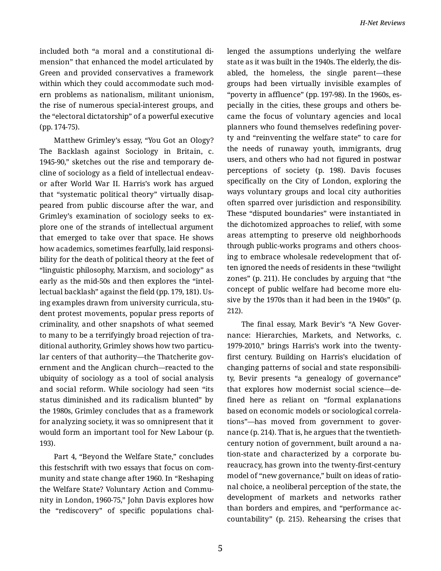included both "a moral and a constitutional di‐ mension" that enhanced the model articulated by Green and provided conservatives a framework within which they could accommodate such mod‐ ern problems as nationalism, militant unionism, the rise of numerous special-interest groups, and the "electoral dictatorship" of a powerful executive (pp. 174-75).

Matthew Grimley's essay, "You Got an Ology? The Backlash against Sociology in Britain, c. 1945-90," sketches out the rise and temporary de‐ cline of sociology as a field of intellectual endeav‐ or after World War II. Harris's work has argued that "systematic political theory" virtually disap‐ peared from public discourse after the war, and Grimley's examination of sociology seeks to ex‐ plore one of the strands of intellectual argument that emerged to take over that space. He shows how academics, sometimes fearfully, laid responsi‐ bility for the death of political theory at the feet of "linguistic philosophy, Marxism, and sociology" as early as the mid-50s and then explores the "intel‐ lectual backlash" against the field (pp. 179, 181). Us‐ ing examples drawn from university curricula, student protest movements, popular press reports of criminality, and other snapshots of what seemed to many to be a terrifyingly broad rejection of tra‐ ditional authority, Grimley shows how two particu‐ lar centers of that authority—the Thatcherite government and the Anglican church—reacted to the ubiquity of sociology as a tool of social analysis and social reform. While sociology had seen "its status diminished and its radicalism blunted" by the 1980s, Grimley concludes that as a framework for analyzing society, it was so omnipresent that it would form an important tool for New Labour (p. 193).

Part 4, "Beyond the Welfare State," concludes this festschrift with two essays that focus on com‐ munity and state change after 1960. In "Reshaping the Welfare State? Voluntary Action and Commu‐ nity in London, 1960-75," John Davis explores how the "rediscovery" of specific populations chal‐ lenged the assumptions underlying the welfare state as it was built in the 1940s. The elderly, the dis‐ abled, the homeless, the single parent—these groups had been virtually invisible examples of "poverty in affluence" (pp. 197-98). In the 1960s, es‐ pecially in the cities, these groups and others be‐ came the focus of voluntary agencies and local planners who found themselves redefining pover‐ ty and "reinventing the welfare state" to care for the needs of runaway youth, immigrants, drug users, and others who had not figured in postwar perceptions of society (p. 198). Davis focuses specifically on the City of London, exploring the ways voluntary groups and local city authorities often sparred over jurisdiction and responsibility. These "disputed boundaries" were instantiated in the dichotomized approaches to relief, with some areas attempting to preserve old neighborhoods through public-works programs and others choos‐ ing to embrace wholesale redevelopment that of‐ ten ignored the needs of residents in these "twilight zones" (p. 211). He concludes by arguing that "the concept of public welfare had become more elu‐ sive by the 1970s than it had been in the 1940s" (p. 212).

The final essay, Mark Bevir's "A New Gover‐ nance: Hierarchies, Markets, and Networks, c. 1979-2010," brings Harris's work into the twentyfirst century. Building on Harris's elucidation of changing patterns of social and state responsibili‐ ty, Bevir presents "a genealogy of governance" that explores how modernist social science—de‐ fined here as reliant on "formal explanations based on economic models or sociological correla‐ tions"—has moved from government to gover‐ nance (p. 214). That is, he argues that the twentiethcentury notion of government, built around a na‐ tion-state and characterized by a corporate bu‐ reaucracy, has grown into the twenty-first-century model of "new governance," built on ideas of ratio‐ nal choice, a neoliberal perception of the state, the development of markets and networks rather than borders and empires, and "performance ac‐ countability" (p. 215). Rehearsing the crises that

5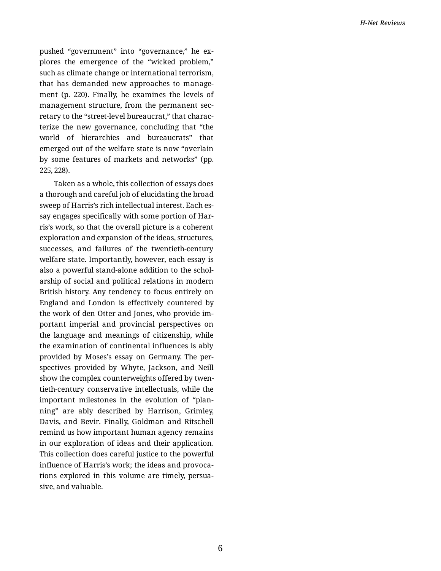pushed "government" into "governance," he explores the emergence of the "wicked problem," such as climate change or international terrorism, that has demanded new approaches to manage‐ ment (p. 220). Finally, he examines the levels of management structure, from the permanent sec‐ retary to the "street-level bureaucrat," that charac‐ terize the new governance, concluding that "the world of hierarchies and bureaucrats" that emerged out of the welfare state is now "overlain by some features of markets and networks" (pp. 225, 228).

Taken as a whole, this collection of essays does a thorough and careful job of elucidating the broad sweep of Harris's rich intellectual interest. Each es‐ say engages specifically with some portion of Harris's work, so that the overall picture is a coherent exploration and expansion of the ideas, structures, successes, and failures of the twentieth-century welfare state. Importantly, however, each essay is also a powerful stand-alone addition to the schol‐ arship of social and political relations in modern British history. Any tendency to focus entirely on England and London is effectively countered by the work of den Otter and Jones, who provide im‐ portant imperial and provincial perspectives on the language and meanings of citizenship, while the examination of continental influences is ably provided by Moses's essay on Germany. The per‐ spectives provided by Whyte, Jackson, and Neill show the complex counterweights offered by twen‐ tieth-century conservative intellectuals, while the important milestones in the evolution of "plan‐ ning" are ably described by Harrison, Grimley, Davis, and Bevir. Finally, Goldman and Ritschell remind us how important human agency remains in our exploration of ideas and their application. This collection does careful justice to the powerful influence of Harris's work; the ideas and provoca‐ tions explored in this volume are timely, persua‐ sive, and valuable.